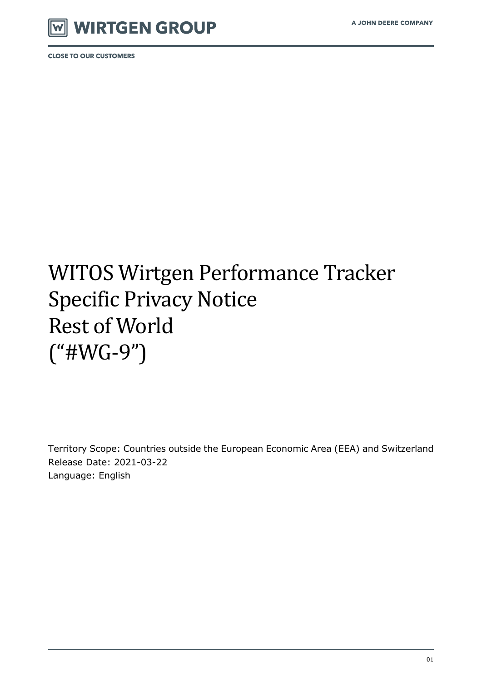

**CLOSE TO OUR CUSTOMERS** 

# WITOS Wirtgen Performance Tracker Specific Privacy Notice Rest of World ("#WG-9")

Territory Scope: Countries outside the European Economic Area (EEA) and Switzerland Release Date: 2021-03-22 Language: English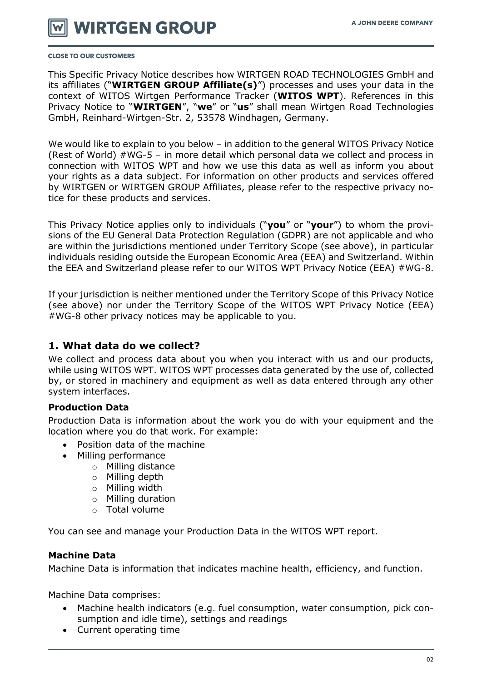

#### **CLOSE TO OUR CUSTOMERS**

This Specific Privacy Notice describes how WIRTGEN ROAD TECHNOLOGIES GmbH and its affiliates ("**WIRTGEN GROUP Affiliate(s)**") processes and uses your data in the context of WITOS Wirtgen Performance Tracker (**WITOS WPT**). References in this Privacy Notice to "**WIRTGEN**", "**we**" or "**us**" shall mean Wirtgen Road Technologies GmbH, Reinhard-Wirtgen-Str. 2, 53578 Windhagen, Germany.

We would like to explain to you below – in addition to the general WITOS Privacy Notice (Rest of World) #WG-5 – in more detail which personal data we collect and process in connection with WITOS WPT and how we use this data as well as inform you about your rights as a data subject. For information on other products and services offered by WIRTGEN or WIRTGEN GROUP Affiliates, please refer to the respective privacy notice for these products and services.

This Privacy Notice applies only to individuals ("**you**" or "**your**") to whom the provisions of the EU General Data Protection Regulation (GDPR) are not applicable and who are within the jurisdictions mentioned under Territory Scope (see above), in particular individuals residing outside the European Economic Area (EEA) and Switzerland. Within the EEA and Switzerland please refer to our WITOS WPT Privacy Notice (EEA) #WG-8.

If your jurisdiction is neither mentioned under the Territory Scope of this Privacy Notice (see above) nor under the Territory Scope of the WITOS WPT Privacy Notice (EEA) #WG-8 other privacy notices may be applicable to you.

# **1. What data do we collect?**

We collect and process data about you when you interact with us and our products, while using WITOS WPT. WITOS WPT processes data generated by the use of, collected by, or stored in machinery and equipment as well as data entered through any other system interfaces.

#### **Production Data**

Production Data is information about the work you do with your equipment and the location where you do that work. For example:

- Position data of the machine
- Milling performance
	- o Milling distance
	- o Milling depth
	- o Milling width
	- o Milling duration
	- o Total volume

You can see and manage your Production Data in the WITOS WPT report.

#### **Machine Data**

Machine Data is information that indicates machine health, efficiency, and function.

Machine Data comprises:

- Machine health indicators (e.g. fuel consumption, water consumption, pick consumption and idle time), settings and readings
- Current operating time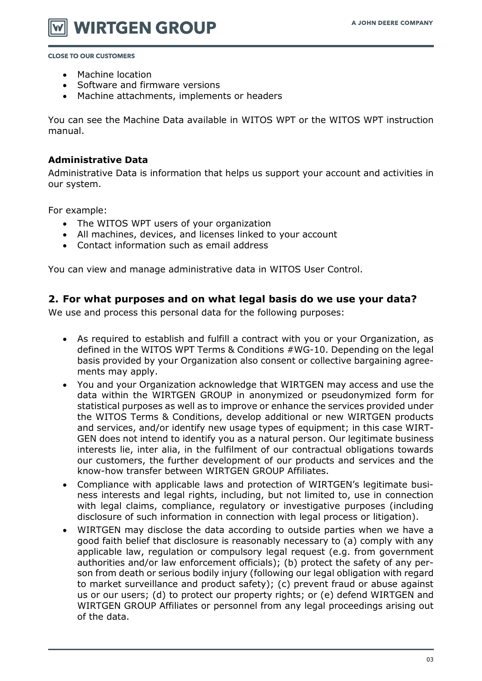**WIRTGEN GROUP** 

**CLOSE TO OUR CUSTOMERS** 

- Machine location
- Software and firmware versions
- Machine attachments, implements or headers

You can see the Machine Data available in WITOS WPT or the WITOS WPT instruction manual.

#### **Administrative Data**

Administrative Data is information that helps us support your account and activities in our system.

For example:

- The WITOS WPT users of your organization
- All machines, devices, and licenses linked to your account
- Contact information such as email address

You can view and manage administrative data in WITOS User Control.

# **2. For what purposes and on what legal basis do we use your data?**

We use and process this personal data for the following purposes:

- As required to establish and fulfill a contract with you or your Organization, as defined in the WITOS WPT Terms & Conditions #WG-10. Depending on the legal basis provided by your Organization also consent or collective bargaining agreements may apply.
- You and your Organization acknowledge that WIRTGEN may access and use the data within the WIRTGEN GROUP in anonymized or pseudonymized form for statistical purposes as well as to improve or enhance the services provided under the WITOS Terms & Conditions, develop additional or new WIRTGEN products and services, and/or identify new usage types of equipment; in this case WIRT-GEN does not intend to identify you as a natural person. Our legitimate business interests lie, inter alia, in the fulfilment of our contractual obligations towards our customers, the further development of our products and services and the know-how transfer between WIRTGEN GROUP Affiliates.
- Compliance with applicable laws and protection of WIRTGEN's legitimate business interests and legal rights, including, but not limited to, use in connection with legal claims, compliance, regulatory or investigative purposes (including disclosure of such information in connection with legal process or litigation).
- WIRTGEN may disclose the data according to outside parties when we have a good faith belief that disclosure is reasonably necessary to (a) comply with any applicable law, regulation or compulsory legal request (e.g. from government authorities and/or law enforcement officials); (b) protect the safety of any person from death or serious bodily injury (following our legal obligation with regard to market surveillance and product safety); (c) prevent fraud or abuse against us or our users; (d) to protect our property rights; or (e) defend WIRTGEN and WIRTGEN GROUP Affiliates or personnel from any legal proceedings arising out of the data.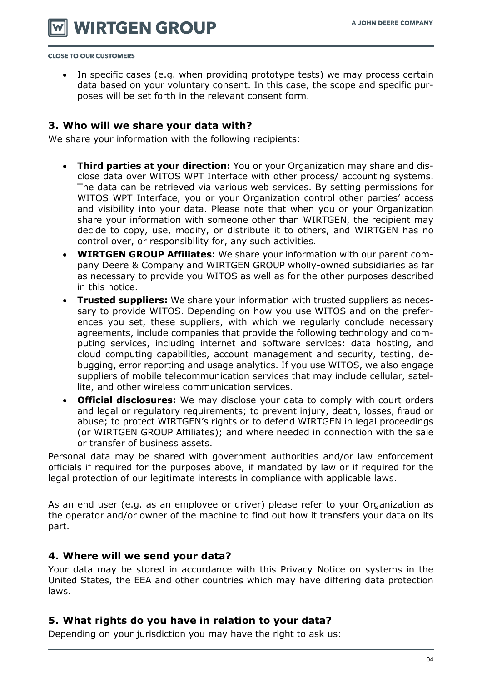**WIRTGEN GROUP** 

**CLOSE TO OUR CUSTOMERS** 

• In specific cases (e.g. when providing prototype tests) we may process certain data based on your voluntary consent. In this case, the scope and specific purposes will be set forth in the relevant consent form.

# **3. Who will we share your data with?**

We share your information with the following recipients:

- **Third parties at your direction:** You or your Organization may share and disclose data over WITOS WPT Interface with other process/ accounting systems. The data can be retrieved via various web services. By setting permissions for WITOS WPT Interface, you or your Organization control other parties' access and visibility into your data. Please note that when you or your Organization share your information with someone other than WIRTGEN, the recipient may decide to copy, use, modify, or distribute it to others, and WIRTGEN has no control over, or responsibility for, any such activities.
- **WIRTGEN GROUP Affiliates:** We share your information with our parent company Deere & Company and WIRTGEN GROUP wholly-owned subsidiaries as far as necessary to provide you WITOS as well as for the other purposes described in this notice.
- **Trusted suppliers:** We share your information with trusted suppliers as necessary to provide WITOS. Depending on how you use WITOS and on the preferences you set, these suppliers, with which we regularly conclude necessary agreements, include companies that provide the following technology and computing services, including internet and software services: data hosting, and cloud computing capabilities, account management and security, testing, debugging, error reporting and usage analytics. If you use WITOS, we also engage suppliers of mobile telecommunication services that may include cellular, satellite, and other wireless communication services.
- **Official disclosures:** We may disclose your data to comply with court orders and legal or regulatory requirements; to prevent injury, death, losses, fraud or abuse; to protect WIRTGEN's rights or to defend WIRTGEN in legal proceedings (or WIRTGEN GROUP Affiliates); and where needed in connection with the sale or transfer of business assets.

Personal data may be shared with government authorities and/or law enforcement officials if required for the purposes above, if mandated by law or if required for the legal protection of our legitimate interests in compliance with applicable laws.

As an end user (e.g. as an employee or driver) please refer to your Organization as the operator and/or owner of the machine to find out how it transfers your data on its part.

#### **4. Where will we send your data?**

Your data may be stored in accordance with this Privacy Notice on systems in the United States, the EEA and other countries which may have differing data protection laws.

# **5. What rights do you have in relation to your data?**

Depending on your jurisdiction you may have the right to ask us: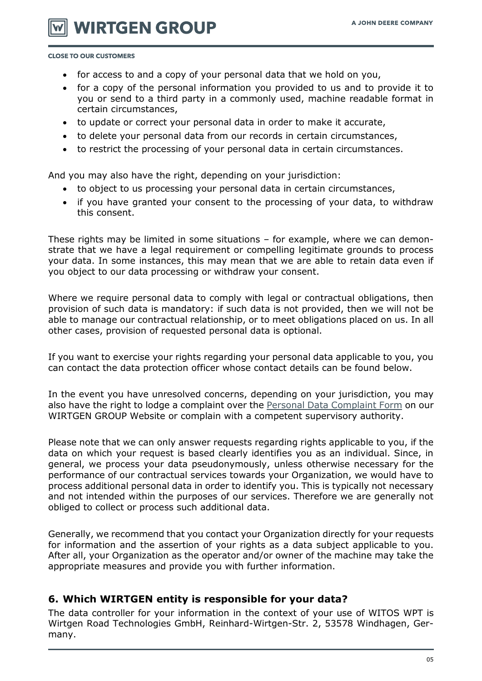**WIRTGEN GROUP** 

**CLOSE TO OUR CUSTOMERS** 

- for access to and a copy of your personal data that we hold on you,
- for a copy of the personal information you provided to us and to provide it to you or send to a third party in a commonly used, machine readable format in certain circumstances,
- to update or correct your personal data in order to make it accurate,
- to delete your personal data from our records in certain circumstances,
- to restrict the processing of your personal data in certain circumstances.

And you may also have the right, depending on your jurisdiction:

- to object to us processing your personal data in certain circumstances,
- if you have granted your consent to the processing of your data, to withdraw this consent.

These rights may be limited in some situations – for example, where we can demonstrate that we have a legal requirement or compelling legitimate grounds to process your data. In some instances, this may mean that we are able to retain data even if you object to our data processing or withdraw your consent.

Where we require personal data to comply with legal or contractual obligations, then provision of such data is mandatory: if such data is not provided, then we will not be able to manage our contractual relationship, or to meet obligations placed on us. In all other cases, provision of requested personal data is optional.

If you want to exercise your rights regarding your personal data applicable to you, you can contact the data protection officer whose contact details can be found below.

In the event you have unresolved concerns, depending on your jurisdiction, you may also have the right to lodge a complaint over the [Personal Data Complaint Form](https://www.wirtgen-group.com/en-de/legal/privacy-policy/#398024) on our WIRTGEN GROUP Website or complain with a competent supervisory authority.

Please note that we can only answer requests regarding rights applicable to you, if the data on which your request is based clearly identifies you as an individual. Since, in general, we process your data pseudonymously, unless otherwise necessary for the performance of our contractual services towards your Organization, we would have to process additional personal data in order to identify you. This is typically not necessary and not intended within the purposes of our services. Therefore we are generally not obliged to collect or process such additional data.

Generally, we recommend that you contact your Organization directly for your requests for information and the assertion of your rights as a data subject applicable to you. After all, your Organization as the operator and/or owner of the machine may take the appropriate measures and provide you with further information.

# **6. Which WIRTGEN entity is responsible for your data?**

The data controller for your information in the context of your use of WITOS WPT is Wirtgen Road Technologies GmbH, Reinhard-Wirtgen-Str. 2, 53578 Windhagen, Germany.